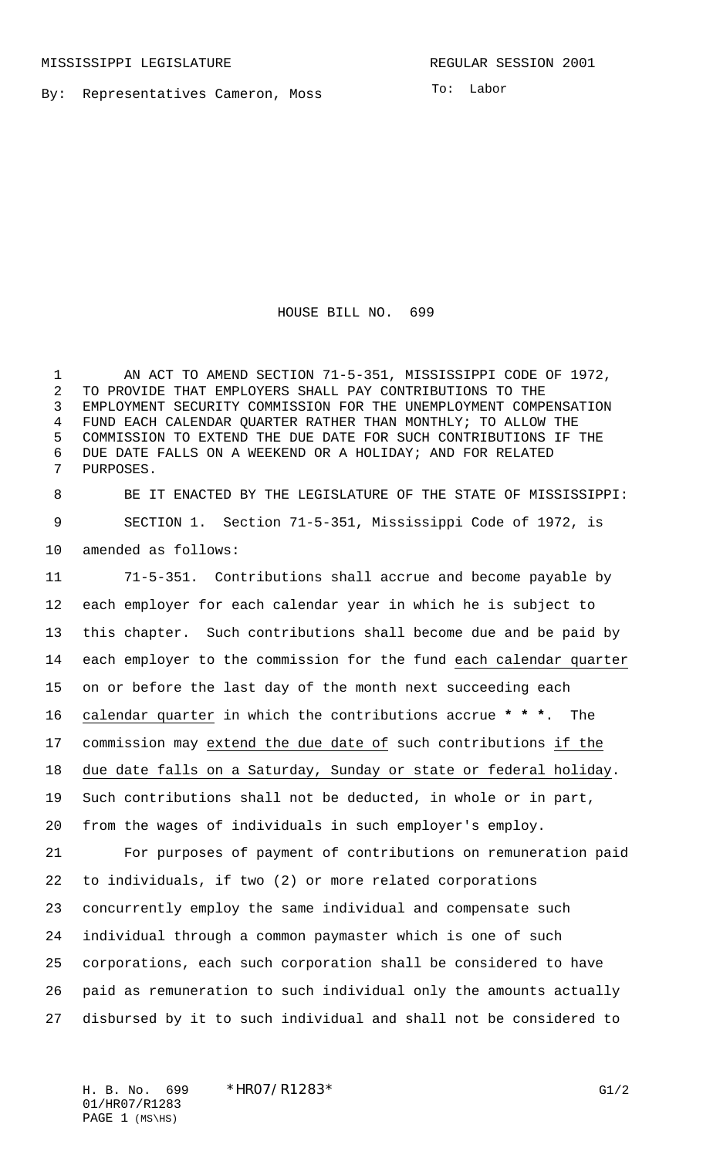By: Representatives Cameron, Moss

To: Labor

HOUSE BILL NO. 699

 AN ACT TO AMEND SECTION 71-5-351, MISSISSIPPI CODE OF 1972, TO PROVIDE THAT EMPLOYERS SHALL PAY CONTRIBUTIONS TO THE EMPLOYMENT SECURITY COMMISSION FOR THE UNEMPLOYMENT COMPENSATION FUND EACH CALENDAR QUARTER RATHER THAN MONTHLY; TO ALLOW THE COMMISSION TO EXTEND THE DUE DATE FOR SUCH CONTRIBUTIONS IF THE DUE DATE FALLS ON A WEEKEND OR A HOLIDAY; AND FOR RELATED PURPOSES.

 BE IT ENACTED BY THE LEGISLATURE OF THE STATE OF MISSISSIPPI: SECTION 1. Section 71-5-351, Mississippi Code of 1972, is amended as follows:

 71-5-351. Contributions shall accrue and become payable by each employer for each calendar year in which he is subject to this chapter. Such contributions shall become due and be paid by each employer to the commission for the fund each calendar quarter on or before the last day of the month next succeeding each calendar quarter in which the contributions accrue **\* \* \***. The commission may extend the due date of such contributions if the due date falls on a Saturday, Sunday or state or federal holiday. Such contributions shall not be deducted, in whole or in part, from the wages of individuals in such employer's employ. For purposes of payment of contributions on remuneration paid to individuals, if two (2) or more related corporations concurrently employ the same individual and compensate such individual through a common paymaster which is one of such corporations, each such corporation shall be considered to have paid as remuneration to such individual only the amounts actually disbursed by it to such individual and shall not be considered to

H. B. No. 699 \* HRO7/R1283 \* G1/2